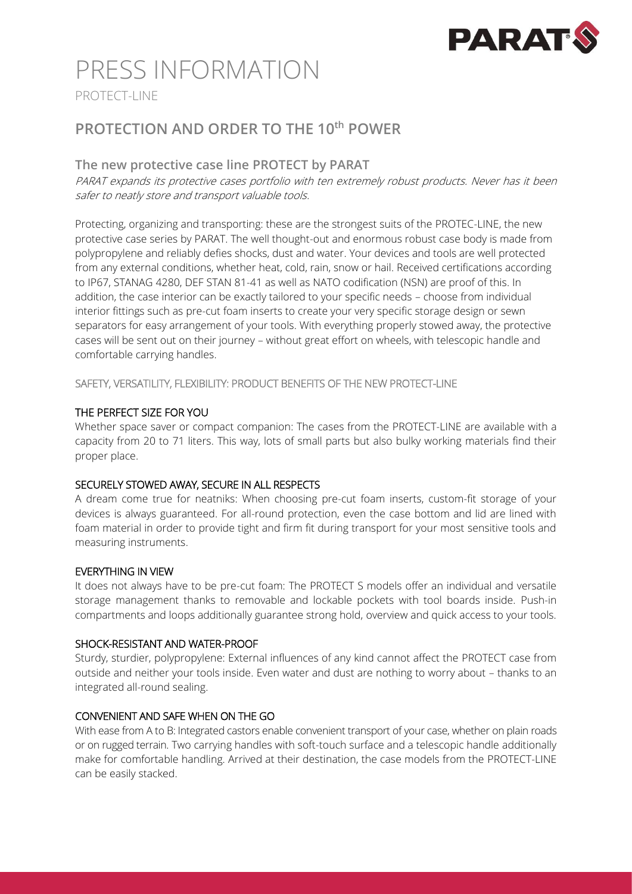

# PRESS INFORMATION

PROTECT-LINE

### **PROTECTION AND ORDER TO THE 10th POWER**

#### **The new protective case line PROTECT by PARAT**

PARAT expands its protective cases portfolio with ten extremely robust products. Never has it been safer to neatly store and transport valuable tools.

Protecting, organizing and transporting: these are the strongest suits of the PROTEC-LINE, the new protective case series by PARAT. The well thought-out and enormous robust case body is made from polypropylene and reliably defies shocks, dust and water. Your devices and tools are well protected from any external conditions, whether heat, cold, rain, snow or hail. Received certifications according to IP67, STANAG 4280, DEF STAN 81-41 as well as NATO codification (NSN) are proof of this. In addition, the case interior can be exactly tailored to your specific needs – choose from individual interior fittings such as pre-cut foam inserts to create your very specific storage design or sewn separators for easy arrangement of your tools. With everything properly stowed away, the protective cases will be sent out on their journey – without great effort on wheels, with telescopic handle and comfortable carrying handles.

SAFETY, VERSATILITY, FLEXIBILITY: PRODUCT BENEFITS OF THE NEW PROTECT-LINE

#### THE PERFECT SIZE FOR YOU

Whether space saver or compact companion: The cases from the PROTECT-LINE are available with a capacity from 20 to 71 liters. This way, lots of small parts but also bulky working materials find their proper place.

#### SECURELY STOWED AWAY, SECURE IN ALL RESPECTS

A dream come true for neatniks: When choosing pre-cut foam inserts, custom-fit storage of your devices is always guaranteed. For all-round protection, even the case bottom and lid are lined with foam material in order to provide tight and firm fit during transport for your most sensitive tools and measuring instruments.

#### EVERYTHING IN VIEW

It does not always have to be pre-cut foam: The PROTECT S models offer an individual and versatile storage management thanks to removable and lockable pockets with tool boards inside. Push-in compartments and loops additionally guarantee strong hold, overview and quick access to your tools.

#### SHOCK-RESISTANT AND WATER-PROOF

Sturdy, sturdier, polypropylene: External influences of any kind cannot affect the PROTECT case from outside and neither your tools inside. Even water and dust are nothing to worry about – thanks to an integrated all-round sealing.

#### CONVENIENT AND SAFE WHEN ON THE GO

With ease from A to B: Integrated castors enable convenient transport of your case, whether on plain roads or on rugged terrain. Two carrying handles with soft-touch surface and a telescopic handle additionally make for comfortable handling. Arrived at their destination, the case models from the PROTECT-LINE can be easily stacked.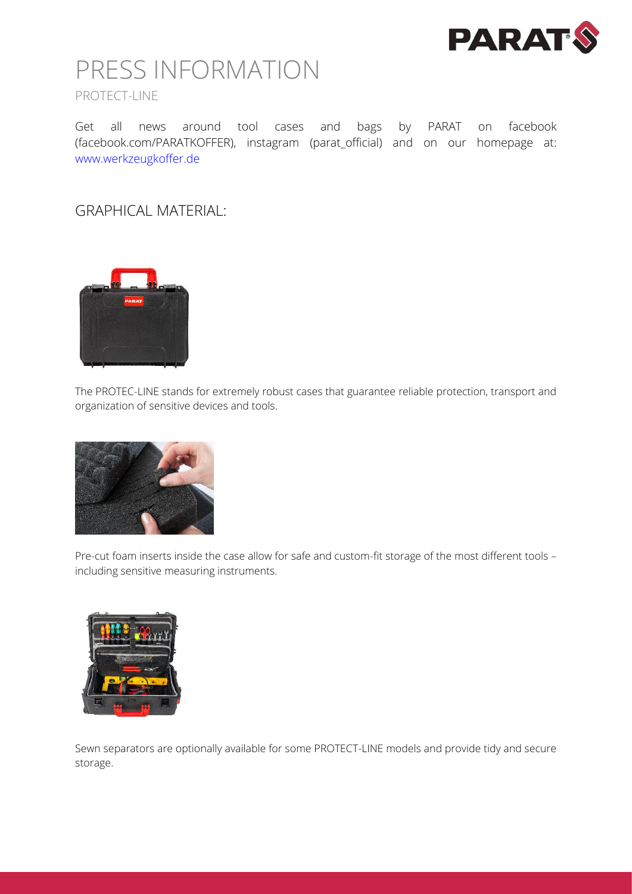

## PRESS INFORMATION PROTECT-LINE

Get all news around tool cases and bags by PARAT on facebook (facebook.com/PARATKOFFER), instagram (parat\_official) and on our homepage at: www.werkzeugkoffer.de

GRAPHICAL MATERIAL:



The PROTEC-LINE stands for extremely robust cases that guarantee reliable protection, transport and organization of sensitive devices and tools.



Pre-cut foam inserts inside the case allow for safe and custom-fit storage of the most different tools – including sensitive measuring instruments.



Sewn separators are optionally available for some PROTECT-LINE models and provide tidy and secure storage.